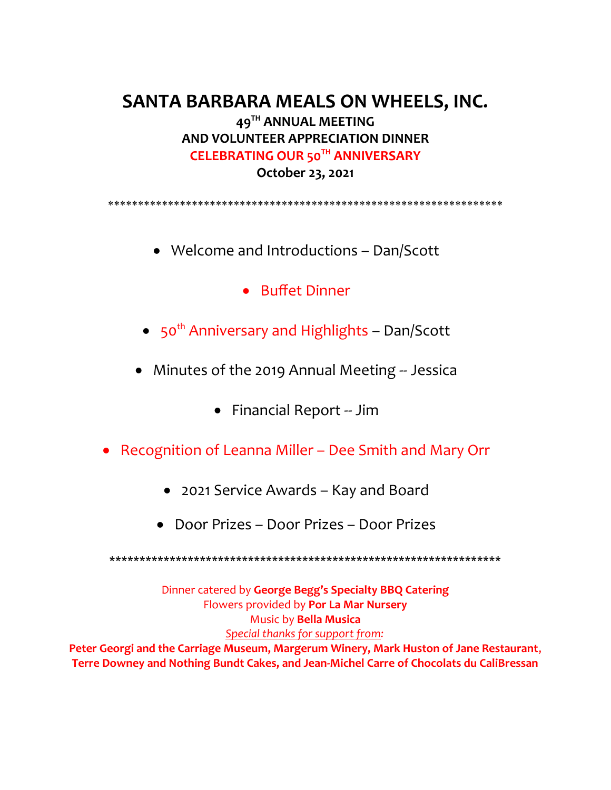# **SANTA BARBARA MEALS ON WHEELS, INC. 49TH ANNUAL MEETING AND VOLUNTEER APPRECIATION DINNER CELEBRATING OUR 50TH ANNIVERSARY October 23, 2021**

\*\*\*\*\*\*\*\*\*\*\*\*\*\*\*\*\*\*\*\*\*\*\*\*\*\*\*\*\*\*\*\*\*\*\*\*\*\*\*\*\*\*\*\*\*\*\*\*\*\*\*\*\*\*\*\*\*\*\*\*\*\*\*\*\*\*

- Welcome and Introductions Dan/Scott
	- Buffet Dinner
- $\bullet$  50<sup>th</sup> Anniversary and Highlights Dan/Scott
- Minutes of the 2019 Annual Meeting -- Jessica
	- Financial Report -- Jim
- Recognition of Leanna Miller Dee Smith and Mary Orr
	- 2021 Service Awards Kay and Board
	- Door Prizes Door Prizes Door Prizes

\*\*\*\*\*\*\*\*\*\*\*\*\*\*\*\*\*\*\*\*\*\*\*\*\*\*\*\*\*\*\*\*\*\*\*\*\*\*\*\*\*\*\*\*\*\*\*\*\*\*\*\*\*\*\*\*\*\*\*\*\*\*\*\*\*

Dinner catered by **George Begg's Specialty BBQ Catering** Flowers provided by **Por La Mar Nursery** Music by **Bella Musica** *Special thanks for support from:* **Peter Georgi and the Carriage Museum, Margerum Winery, Mark Huston of Jane Restaurant**,

**Terre Downey and Nothing Bundt Cakes, and Jean-Michel Carre of Chocolats du CaliBressan**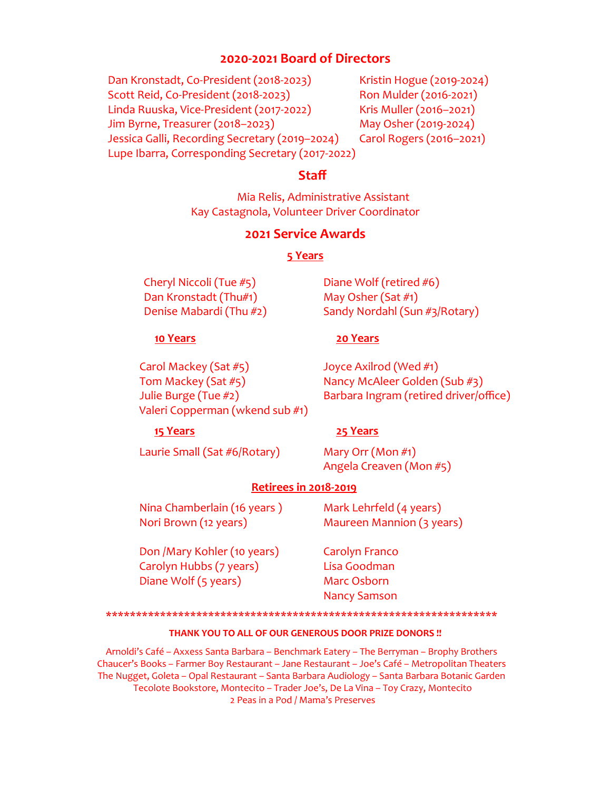# **2020-2021 Board of Directors**

Dan Kronstadt, Co-President (2018-2023) Kristin Hogue (2019-2024) Scott Reid, Co-President (2018-2023) Ron Mulder (2016-2021) Linda Ruuska, Vice-President (2017-2022) Kris Muller (2016–2021) Jim Byrne, Treasurer (2018–2023) May Osher (2019-2024) Jessica Galli, Recording Secretary (2019–2024) Carol Rogers (2016–2021) Lupe Ibarra, Corresponding Secretary (2017-2022)

## **Staff**

Mia Relis, Administrative Assistant Kay Castagnola, Volunteer Driver Coordinator

### **2021 Service Awards**

### **5 Years**

Cheryl Niccoli (Tue #5) Diane Wolf (retired #6) Dan Kronstadt (Thu#1) May Osher (Sat #1)

Denise Mabardi (Thu #2) Sandy Nordahl (Sun #3/Rotary)

### **10 Years 20 Years**

Carol Mackey (Sat #5) Joyce Axilrod (Wed #1) Tom Mackey (Sat #5) Nancy McAleer Golden (Sub #3) Valeri Copperman (wkend sub #1)

Julie Burge (Tue #2) Barbara Ingram (retired driver/office)

### **15 Years 25 Years**

Laurie Small (Sat #6/Rotary) Mary Orr (Mon #1)

Angela Creaven (Mon #5)

### **Retirees in 2018-2019**

Nina Chamberlain (16 years ) Mark Lehrfeld (4 years) Nori Brown (12 years) Maureen Mannion (3 years)

Don /Mary Kohler (10 years) Carolyn Franco Carolyn Hubbs (7 years) Lisa Goodman Diane Wolf (5 years) Marc Osborn

Nancy Samson

\*\*\*\*\*\*\*\*\*\*\*\*\*\*\*\*\*\*\*\*\*\*\*\*\*\*\*\*\*\*\*\*\*\*\*\*\*\*\*\*\*\*\*\*\*\*\*\*\*\*\*\*\*\*\*\*\*\*\*\*\*\*\*\*\*

### **THANK YOU TO ALL OF OUR GENEROUS DOOR PRIZE DONORS !!**

Arnoldi's Café – Axxess Santa Barbara – Benchmark Eatery – The Berryman – Brophy Brothers Chaucer's Books – Farmer Boy Restaurant – Jane Restaurant – Joe's Café – Metropolitan Theaters The Nugget, Goleta – Opal Restaurant – Santa Barbara Audiology – Santa Barbara Botanic Garden Tecolote Bookstore, Montecito – Trader Joe's, De La Vina – Toy Crazy, Montecito 2 Peas in a Pod / Mama's Preserves